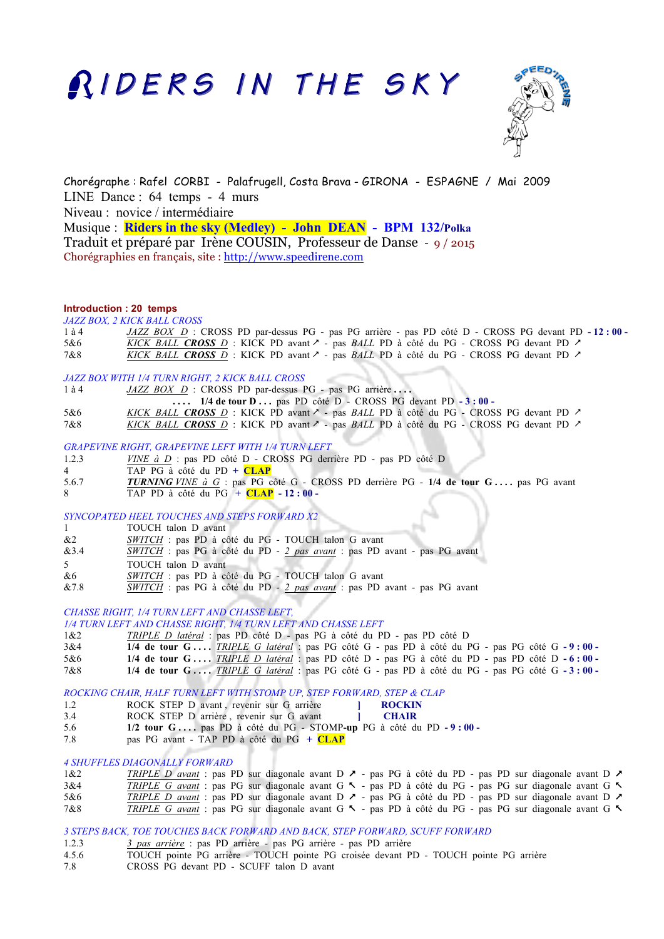# RIDERS IN THE SKY



Chorégraphe : Rafel CORBI - Palafrugell, Costa Brava - GIRONA - ESPAGNE / Mai 2009 LINE Dance : 64 temps - 4 murs Niveau : novice / intermédiaire Musique : **Riders in the sky (Medley) - John DEAN - BPM 132/Polka** Traduit et préparé par Irène COUSIN, Professeur de Danse - 9 / 2015 Chorégraphies en français, site : http://www.speedirene.com

# **Introduction : 20 temps**

*JAZZ BOX, 2 KICK BALL CROSS*

| 1 à 4 | JAZZ BOX D : CROSS PD par-dessus PG - pas PG arrière - pas PD côté D - CROSS PG devant PD - 12:00 -                 |
|-------|---------------------------------------------------------------------------------------------------------------------|
| 5&6   | <i>KICK BALL CROSS D</i> : KICK PD avant $\sim$ - pas <i>BALL</i> PD à côté du PG - CROSS PG devant PD $\sim$       |
| 7&8   | <i>KICK BALL CROSS D</i> : KICK PD avant $\lambda$ - pas <i>BALL</i> PD à côté du PG - CROSS PG devant PD $\lambda$ |

#### *JAZZ BOX WITH 1/4 TURN RIGHT, 2 KICK BALL CROSS*

1 à 4 *JAZZ BOX D* : CROSS PD par-dessus PG - pas PG arrière ...  **. . . . 1/4 de tour D . . .** pas PD côté D - CROSS PG devant PD **- 3 : 00 -**  5&6 *KICK BALL CROSS D* : KICK PD avant  $\lambda$  - pas *BALL* PD à côté du PG - CROSS PG devant PD  $\lambda$ 7&8 *KICK BALL CROSS D* : KICK PD avant & - pas *BALL* PD à côté du PG - CROSS PG devant PD &

*GRAPEVINE RIGHT, GRAPEVINE LEFT WITH 1/4 TURN LEFT*

- 1.2.3 *VINE à D* : pas PD côté D CROSS PG derrière PD pas PD côté D
- 4 TAP PG à côté du PD **+ CLAP**
- 5.6.7 *TURNING VINE à G* : pas PG côté G CROSS PD derrière PG **1/4 de tour G . . . .** pas PG avant
- 8 TAP PD à côté du PG **+ CLAP - 12 : 00**

*SYNCOPATED HEEL TOUCHES AND STEPS FORWARD X2*

- 1 TOUCH talon D avant
- &2 *SWITCH* : pas PD à côté du PG TOUCH talon G avant
- &3.4 *SWITCH* : pas PG à côté du PD *2 pas avant* : pas PD avant pas PG avant
- 5 TOUCH talon D avant
- &6 *SWITCH* : pas PD à côté du PG TOUCH talon G avant
- &7.8 *SWITCH* : pas PG à côté du PD *2 pas avant* : pas PD avant pas PG avant

# *CHASSE RIGHT, 1/4 TURN LEFT AND CHASSE LEFT,*

*1/4 TURN LEFT AND CHASSE RIGHT, 1/4 TURN LEFT AND CHASSE LEFT*

1&2 *TRIPLE D latéral* : pas PD côté D - pas PG à côté du PD - pas PD côté D

- 3&4 **1/4 de tour G . . . .** *TRIPLE G latéral* : pas PG côté G pas PD à côté du PG pas PG côté G **- 9 : 00**
- 5&6 **1/4 de tour G . . . .** *TRIPLE D latéral* : pas PD côté D pas PG à côté du PD pas PD côté D **- 6 : 00**
- 7&8 **1/4 de tour G . . . .** *TRIPLE G latéral* : pas PG côté G pas PD à côté du PG pas PG côté G **- 3 : 00**

*ROCKING CHAIR, HALF TURN LEFT WITH STOMP UP, STEP FORWARD, STEP & CLAP*

- 1.2 ROCK STEP D avant , revenir sur G arrière **] ROCKIN** 3.4 ROCK STEP D arrière , revenir sur G avant **] CHAIR**
- 5.6 **1/2 tour G . . . .** pas PD à côté du PG STOMP**-up** PG à côté du PD **- 9 : 00**
- 7.8 pas PG avant TAP PD à côté du PG **+ CLAP**

# *4 SHUFFLES DIAGONALLY FORWARD*

| 1&2 | TRIPLE D avant : pas PD sur diagonale avant D $\lambda$ - pas PG à côté du PD - pas PD sur diagonale avant D $\lambda$ |  |  |  |  |  |  |  |  |  |
|-----|------------------------------------------------------------------------------------------------------------------------|--|--|--|--|--|--|--|--|--|
| 3&4 | TRIPLE G avant : pas PG sur diagonale avant G $\sim$ - pas PD à côté du PG - pas PG sur diagonale avant G $\sim$       |  |  |  |  |  |  |  |  |  |
| 5&6 | TRIPLE D avant : pas PD sur diagonale avant D $\lambda$ - pas PG à côté du PD - pas PD sur diagonale avant D $\lambda$ |  |  |  |  |  |  |  |  |  |
| 7&8 | TRIPLE G avant: pas PG sur diagonale avant G $\sim$ - pas PD à côté du PG - pas PG sur diagonale avant G $\sim$        |  |  |  |  |  |  |  |  |  |

*3 STEPS BACK, TOE TOUCHES BACK FORWARD AND BACK, STEP FORWARD, SCUFF FORWARD*

- 1.2.3 *3 pas arrière* : pas PD arrière pas PG arrière pas PD arrière
- 4.5.6 TOUCH pointe PG arrière TOUCH pointe PG croisée devant PD TOUCH pointe PG arrière
- 7.8 CROSS PG devant PD SCUFF talon D avant